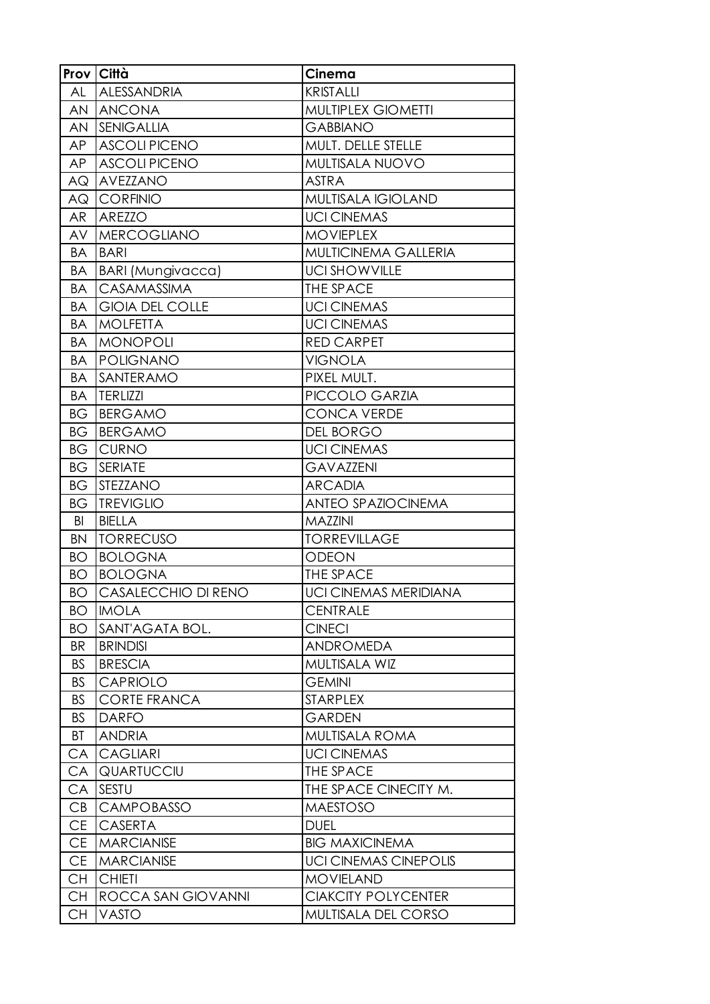|           | Prov Città               | Cinema                       |
|-----------|--------------------------|------------------------------|
| AL        | ALESSANDRIA              | <b>KRISTALLI</b>             |
| AN        | <b>ANCONA</b>            | MULTIPLEX GIOMETTI           |
| AN        | <b>SENIGALLIA</b>        | <b>GABBIANO</b>              |
| AP        | <b>ASCOLI PICENO</b>     | MULT. DELLE STELLE           |
| AP        | <b>ASCOLIPICENO</b>      | MULTISALA NUOVO              |
| ΑQ        | AVEZZANO                 | <b>ASTRA</b>                 |
| AQ        | <b>CORFINIO</b>          | <b>MULTISALA IGIOLAND</b>    |
| AR        | AREZZO                   | <b>UCI CINEMAS</b>           |
| AV        | <b>MERCOGLIANO</b>       | <b>MOVIEPLEX</b>             |
| BA        | <b>BARI</b>              | MULTICINEMA GALLERIA         |
| BA        | <b>BARI</b> (Mungivacca) | <b>UCI SHOWVILLE</b>         |
| BA        | <b>CASAMASSIMA</b>       | THE SPACE                    |
| BA        | <b>GIOIA DEL COLLE</b>   | <b>UCI CINEMAS</b>           |
| BA        | <b>MOLFETTA</b>          | <b>UCI CINEMAS</b>           |
| BA        | <b>MONOPOLI</b>          | <b>RED CARPET</b>            |
| BA        | POLIGNANO                | <b>VIGNOLA</b>               |
| BA        | SANTERAMO                | PIXEL MULT.                  |
| BA        | <b>TERLIZZI</b>          | PICCOLO GARZIA               |
| ВG        | <b>BERGAMO</b>           | <b>CONCA VERDE</b>           |
| ВG        | BERGAMO                  | DEL BORGO                    |
| ВG        | <b>CURNO</b>             | <b>UCI CINEMAS</b>           |
| BG        | <b>SERIATE</b>           | <b>GAVAZZENI</b>             |
| ВG        | <b>STEZZANO</b>          | <b>ARCADIA</b>               |
| ВG        | <b>TREVIGLIO</b>         | <b>ANTEO SPAZIOCINEMA</b>    |
| BI        | <b>BIELLA</b>            | <b>MAZZINI</b>               |
| <b>BN</b> | <b>TORRECUSO</b>         | <b>TORREVILLAGE</b>          |
| <b>BO</b> | <b>BOLOGNA</b>           | <b>ODEON</b>                 |
| <b>BO</b> | <b>BOLOGNA</b>           | THE SPACE                    |
| BO        | CASALECCHIO DI RENO      | <b>UCI CINEMAS MERIDIANA</b> |
| BO        | <b>IMOLA</b>             | <b>CENTRALE</b>              |
| <b>BO</b> | SANT'AGATA BOL.          | <b>CINECI</b>                |
| <b>BR</b> | <b>BRINDISI</b>          | <b>ANDROMEDA</b>             |
| <b>BS</b> | <b>BRESCIA</b>           | MULTISALA WIZ                |
| <b>BS</b> | <b>CAPRIOLO</b>          | <b>GEMINI</b>                |
| <b>BS</b> | <b>CORTE FRANCA</b>      | <b>STARPLEX</b>              |
| <b>BS</b> | <b>DARFO</b>             | <b>GARDEN</b>                |
| ВT        | <b>ANDRIA</b>            | MULTISALA ROMA               |
| CA        | <b>CAGLIARI</b>          | <b>UCI CINEMAS</b>           |
| CA        | QUARTUCCIU               | <b>THE SPACE</b>             |
| CA        | <b>SESTU</b>             | THE SPACE CINECITY M.        |
| CB        | <b>CAMPOBASSO</b>        | <b>MAESTOSO</b>              |
| <b>CE</b> | <b>CASERTA</b>           | <b>DUEL</b>                  |
| <b>CE</b> | <b>MARCIANISE</b>        | <b>BIG MAXICINEMA</b>        |
| <b>CE</b> | <b>MARCIANISE</b>        | <b>UCI CINEMAS CINEPOLIS</b> |
| <b>CH</b> | <b>CHIETI</b>            | <b>MOVIELAND</b>             |
| <b>CH</b> | ROCCA SAN GIOVANNI       | <b>CIAKCITY POLYCENTER</b>   |
| CН        | <b>VASTO</b>             | MULTISALA DEL CORSO          |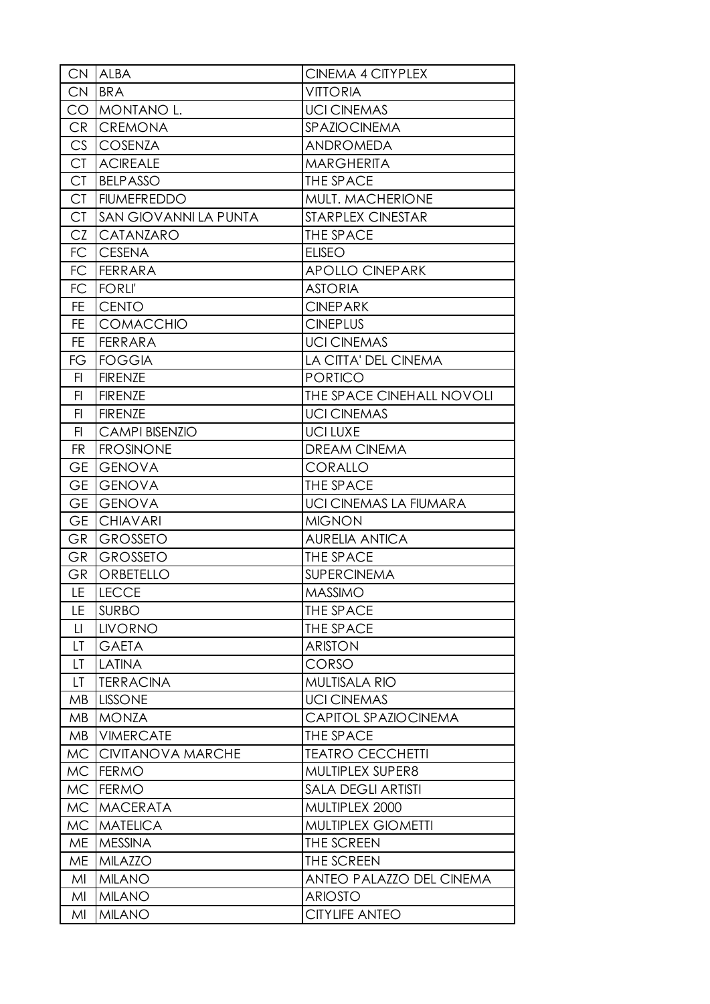|           | CN ALBA                  | <b>CINEMA 4 CITYPLEX</b>      |
|-----------|--------------------------|-------------------------------|
| <b>CN</b> | <b>BRA</b>               | <b>VITTORIA</b>               |
| CO        | MONTANO L.               | <b>UCI CINEMAS</b>            |
| <b>CR</b> | <b>CREMONA</b>           | SPAZIOCINEMA                  |
| CS        | <b>COSENZA</b>           | ANDROMEDA                     |
| <b>CT</b> | <b>ACIREALE</b>          | <b>MARGHERITA</b>             |
| <b>CT</b> | <b>BELPASSO</b>          | THE SPACE                     |
| <b>CT</b> | <b>FIUMEFREDDO</b>       | MULT. MACHERIONE              |
| <b>CT</b> | SAN GIOVANNI LA PUNTA    | STARPLEX CINESTAR             |
| CZ        | CATANZARO                | THE SPACE                     |
| FC        | <b>CESENA</b>            | <b>ELISEO</b>                 |
| FC        | <b>FERRARA</b>           | <b>APOLLO CINEPARK</b>        |
| FC        | <b>FORLI'</b>            | <b>ASTORIA</b>                |
| FE.       | <b>CENTO</b>             | <b>CINEPARK</b>               |
| <b>FE</b> | COMACCHIO                | <b>CINEPLUS</b>               |
| <b>FE</b> | <b>FERRARA</b>           | <b>UCI CINEMAS</b>            |
| FG        | <b>FOGGIA</b>            | LA CITTA' DEL CINEMA          |
| FI.       | <b>FIRENZE</b>           | <b>PORTICO</b>                |
| FI        | <b>FIRENZE</b>           | THE SPACE CINEHALL NOVOLI     |
| F1        | <b>FIRENZE</b>           | <b>UCI CINEMAS</b>            |
| FI.       | <b>CAMPI BISENZIO</b>    | <b>UCILUXE</b>                |
| <b>FR</b> | <b>FROSINONE</b>         | <b>DREAM CINEMA</b>           |
| <b>GE</b> | <b>GENOVA</b>            | CORALLO                       |
| <b>GE</b> | <b>GENOVA</b>            | THE SPACE                     |
| <b>GE</b> | <b>GENOVA</b>            | <b>UCI CINEMAS LA FIUMARA</b> |
| <b>GE</b> | <b>CHIAVARI</b>          | <b>MIGNON</b>                 |
| GR        | <b>GROSSETO</b>          | <b>AURELIA ANTICA</b>         |
| <b>GR</b> | <b>GROSSETO</b>          | THE SPACE                     |
| <b>GR</b> | ORBETELLO                | <b>SUPERCINEMA</b>            |
| LE.       | <b>LECCE</b>             | <b>MASSIMO</b>                |
| LE        | <b>SURBO</b>             | THE SPACE                     |
| $\Box$    | <b>LIVORNO</b>           | THE SPACE                     |
| LT        | <b>GAETA</b>             | <b>ARISTON</b>                |
| LT        | <b>LATINA</b>            | CORSO                         |
| LT        | <b>TERRACINA</b>         | <b>MULTISALA RIO</b>          |
| ΜB        | <b>LISSONE</b>           | <b>UCI CINEMAS</b>            |
| MB        | <b>MONZA</b>             | CAPITOL SPAZIOCINEMA          |
| ΜB        | <b>VIMERCATE</b>         | THE SPACE                     |
| MC        | <b>CIVITANOVA MARCHE</b> | <b>TEATRO CECCHETTI</b>       |
| MC.       | <b>FERMO</b>             | MULTIPLEX SUPER8              |
| MC        | <b>FERMO</b>             | <b>SALA DEGLI ARTISTI</b>     |
| <b>MC</b> | <b>MACERATA</b>          | MULTIPLEX 2000                |
| <b>MC</b> | <b>MATELICA</b>          | <b>MULTIPLEX GIOMETTI</b>     |
| ME        | <b>MESSINA</b>           | THE SCREEN                    |
| ME        | <b>MILAZZO</b>           | THE SCREEN                    |
| MI        | <b>MILANO</b>            | ANTEO PALAZZO DEL CINEMA      |
| MI        | <b>MILANO</b>            | <b>ARIOSTO</b>                |
| MI        | <b>MILANO</b>            | <b>CITYLIFE ANTEO</b>         |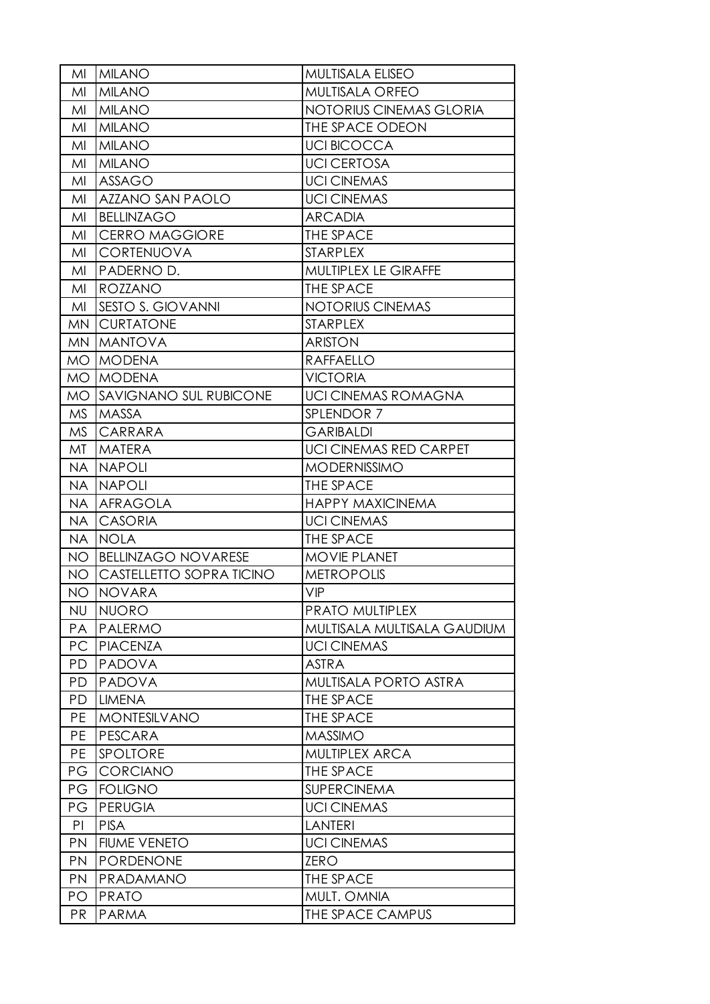| MI        | <b>MILANO</b>                 | <b>MULTISALA ELISEO</b>       |
|-----------|-------------------------------|-------------------------------|
| MI        | <b>MILANO</b>                 | <b>MULTISALA ORFEO</b>        |
| MI        | <b>MILANO</b>                 | NOTORIUS CINEMAS GLORIA       |
| MI        | <b>MILANO</b>                 | THE SPACE ODEON               |
| MI        | <b>MILANO</b>                 | <b>UCI BICOCCA</b>            |
| MI        | <b>MILANO</b>                 | <b>UCI CERTOSA</b>            |
| MI        | <b>ASSAGO</b>                 | <b>UCI CINEMAS</b>            |
| MI        | AZZANO SAN PAOLO              | <b>UCI CINEMAS</b>            |
| MI        | <b>BELLINZAGO</b>             | <b>ARCADIA</b>                |
| MI        | <b>CERRO MAGGIORE</b>         | THE SPACE                     |
| MI        | CORTENUOVA                    | <b>STARPLEX</b>               |
| MI        | PADERNO D.                    | MULTIPLEX LE GIRAFFE          |
| MI        | <b>ROZZANO</b>                | THE SPACE                     |
| MI        | <b>SESTO S. GIOVANNI</b>      | <b>NOTORIUS CINEMAS</b>       |
| MN        | <b>CURTATONE</b>              | <b>STARPLEX</b>               |
| MN        | <b>MANTOVA</b>                | <b>ARISTON</b>                |
| MO        | <b>MODENA</b>                 | <b>RAFFAELLO</b>              |
| MO.       | <b>MODENA</b>                 | <b>VICTORIA</b>               |
| MO.       | <b>SAVIGNANO SUL RUBICONE</b> | <b>UCI CINEMAS ROMAGNA</b>    |
| <b>MS</b> | <b>MASSA</b>                  | SPLENDOR 7                    |
| MS        | CARRARA                       | <b>GARIBALDI</b>              |
| MT        | <b>MATERA</b>                 | <b>UCI CINEMAS RED CARPET</b> |
| NA.       | <b>NAPOLI</b>                 | <b>MODERNISSIMO</b>           |
| NA        | <b>NAPOLI</b>                 | THE SPACE                     |
| NA        | <b>AFRAGOLA</b>               | <b>HAPPY MAXICINEMA</b>       |
| <b>NA</b> | <b>CASORIA</b>                | <b>UCI CINEMAS</b>            |
| <b>NA</b> | <b>NOLA</b>                   | THE SPACE                     |
| NO.       | <b>BELLINZAGO NOVARESE</b>    | <b>MOVIE PLANET</b>           |
| NO.       | CASTELLETTO SOPRA TICINO      | <b>METROPOLIS</b>             |
| NO.       | NOVARA                        | VIP                           |
| <b>NU</b> | <b>NUORO</b>                  | PRATO MULTIPLEX               |
| <b>PA</b> | <b>PALERMO</b>                | MULTISALA MULTISALA GAUDIUM   |
| PC        | <b>PIACENZA</b>               | <b>UCI CINEMAS</b>            |
| <b>PD</b> | <b>PADOVA</b>                 | <b>ASTRA</b>                  |
| <b>PD</b> | PADOVA                        | MULTISALA PORTO ASTRA         |
| <b>PD</b> | <b>LIMENA</b>                 | THE SPACE                     |
| PE        | <b>MONTESILVANO</b>           | <b>THE SPACE</b>              |
| <b>PE</b> | <b>PESCARA</b>                | <b>MASSIMO</b>                |
| <b>PE</b> | SPOLTORE                      | MULTIPLEX ARCA                |
| PG        | <b>CORCIANO</b>               | THE SPACE                     |
| PG        | <b>FOLIGNO</b>                | <b>SUPERCINEMA</b>            |
| PG        | <b>PERUGIA</b>                | <b>UCI CINEMAS</b>            |
| PI        | <b>PISA</b>                   | <b>LANTERI</b>                |
| <b>PN</b> | <b>FIUME VENETO</b>           | <b>UCI CINEMAS</b>            |
| <b>PN</b> | <b>PORDENONE</b>              | <b>ZERO</b>                   |
| <b>PN</b> | PRADAMANO                     | THE SPACE                     |
| PО        | <b>PRATO</b>                  | MULT. OMNIA                   |
| <b>PR</b> | <b>PARMA</b>                  | THE SPACE CAMPUS              |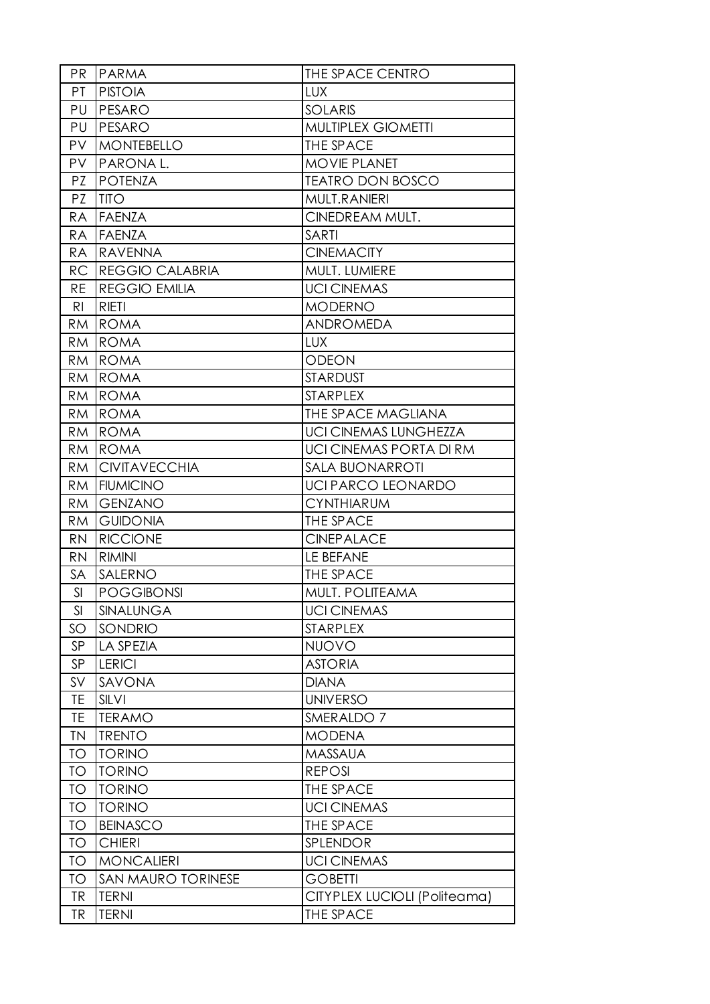| PR             | PARMA                  | THE SPACE CENTRO             |
|----------------|------------------------|------------------------------|
| PT.            | <b>PISTOIA</b>         | <b>LUX</b>                   |
| PU             | PESARO                 | <b>SOLARIS</b>               |
| PU             | PESARO                 | MULTIPLEX GIOMETTI           |
| <b>PV</b>      | <b>MONTEBELLO</b>      | THE SPACE                    |
| PV.            | PARONA L.              | <b>MOVIE PLANET</b>          |
| PZ.            | <b>POTENZA</b>         | <b>TEATRO DON BOSCO</b>      |
| PZ             | <b>TITO</b>            | MULT.RANIERI                 |
| RA             | <b>FAENZA</b>          | CINEDREAM MULT.              |
| <b>RA</b>      | <b>FAENZA</b>          | <b>SARTI</b>                 |
| RA             | <b>RAVENNA</b>         | <b>CINEMACITY</b>            |
| <b>RC</b>      | <b>REGGIO CALABRIA</b> | MULT. LUMIERE                |
| <b>RE</b>      | <b>REGGIO EMILIA</b>   | <b>UCI CINEMAS</b>           |
| R <sub>l</sub> | <b>RIETI</b>           | <b>MODERNO</b>               |
| RM             | <b>ROMA</b>            | <b>ANDROMEDA</b>             |
| RM             | <b>ROMA</b>            | <b>LUX</b>                   |
| RM             | <b>ROMA</b>            | <b>ODEON</b>                 |
| <b>RM</b>      | <b>ROMA</b>            | <b>STARDUST</b>              |
| RM             | <b>ROMA</b>            | <b>STARPLEX</b>              |
| RM             | <b>ROMA</b>            | THE SPACE MAGLIANA           |
| RM             | <b>ROMA</b>            | <b>UCI CINEMAS LUNGHEZZA</b> |
| <b>RM</b>      | <b>ROMA</b>            | UCI CINEMAS PORTA DI RM      |
| RM             | <b>CIVITAVECCHIA</b>   | <b>SALA BUONARROTI</b>       |
| <b>RM</b>      | <b>FIUMICINO</b>       | <b>UCI PARCO LEONARDO</b>    |
| RM.            | <b>GENZANO</b>         | <b>CYNTHIARUM</b>            |
| <b>RM</b>      | <b>GUIDONIA</b>        | THE SPACE                    |
| <b>RN</b>      | <b>RICCIONE</b>        | <b>CINEPALACE</b>            |
| <b>RN</b>      | <b>RIMINI</b>          | LE BEFANE                    |
| SA             | SALERNO                | THE SPACE                    |
| SI             | <b>POGGIBONSI</b>      | MULT. POLITEAMA              |
| SI             | SINALUNGA              | <b>UCI CINEMAS</b>           |
| SO             | SONDRIO                | <b>STARPLEX</b>              |
| SP             | LA SPEZIA              | <b>NUOVO</b>                 |
| SP             | <b>LERICI</b>          | <b>ASTORIA</b>               |
| SV             | SAVONA                 | <b>DIANA</b>                 |
| TE             | SILVI                  | <b>UNIVERSO</b>              |
| TE             | <b>TERAMO</b>          | SMERALDO <sub>7</sub>        |
| <b>TN</b>      | <b>TRENTO</b>          | <b>MODENA</b>                |
| <b>TO</b>      | <b>TORINO</b>          | <b>MASSAUA</b>               |
| <b>TO</b>      | <b>TORINO</b>          | <b>REPOSI</b>                |
| <b>TO</b>      | <b>TORINO</b>          | THE SPACE                    |
| <b>TO</b>      | <b>TORINO</b>          | <b>UCI CINEMAS</b>           |
| <b>TO</b>      | <b>BEINASCO</b>        | THE SPACE                    |
| <b>TO</b>      | <b>CHIERI</b>          | SPLENDOR                     |
| <b>TO</b>      | <b>MONCALIERI</b>      | <b>UCI CINEMAS</b>           |
| <b>TO</b>      | SAN MAURO TORINESE     | <b>GOBETTI</b>               |
| <b>TR</b>      | <b>TERNI</b>           | CITYPLEX LUCIOLI (Politeama) |
| TR             | <b>TERNI</b>           | THE SPACE                    |